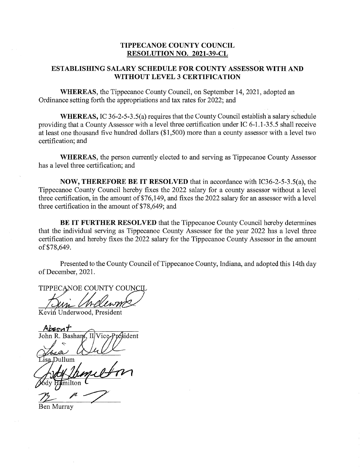## **TIPPECANOE COUNTY COUNCIL RESOLUTION** NO. **2021-39-CL**

## **ESTABLISHING SALARY SCHEDULE** FOR COUNTY **ASSESSOR WITH** AND WITHOUT **LEVEL** 3 **CERTIFICATION**

**WHEREAS,** the Tippecanoe County Council, on September 14, 2021, adopted an Ordinance setting forth the appropriations and tax rates for 2022; and

**WHEREAS, IC 36-2-5-3.5(a) requires that the County Council establish a salary schedule** providing that a County Assessor with a level three certification under IC 6-1.1-35.5 shall receive at least one thousand five hundred dollars (\$1,500) more than a county assessor with a level two certification; and

**WHEREAS,** the person currently elected to and serving as Tippecanoe County Assessor has a level three certification; and

**NOW, THEREFORE** BE IT **RESOLVED** that in accordance with IC36-2-5-3.5(a), the Tippecanoe County Council hereby fixes the 2022 salary for a county assessor without a level three certification, in the amount of \$76,149, and fixes the 2022 salary for an assessor with a level three certification in the amount of \$78,649; and

BE IT **FURTHER RESOLVED** that the Tippecanoe County Council hereby determines that the individual serving as Tippecanoe County Assessor for the year 2022 has a level three certification and hereby fixes the 2022 salary for the Tippecanoe County Assessor in the amount of \$78,649.

Presented to the County Council of Tippecanoe County, Indiana, and adopted this 14th day of December, 2021.

TIPPECANOE COUNTY COUNCIL

Kévifi Underwood, President

*Absent*<br>John R. Basham, Il Vice-Président

"Dullum

Ben Murray